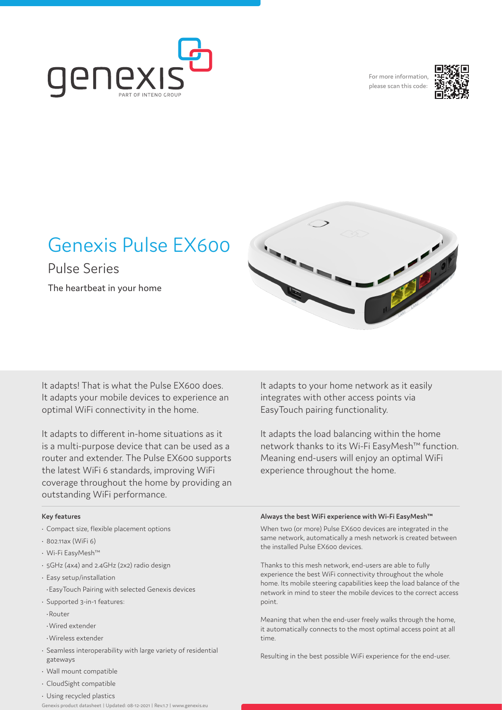

For more information, please scan this code:



# Genexis Pulse EX600

Pulse Series The heartbeat in your home

It adapts! That is what the Pulse EX600 does. It adapts your mobile devices to experience an optimal WiFi connectivity in the home.

It adapts to different in-home situations as it is a multi-purpose device that can be used as a router and extender. The Pulse EX600 supports the latest WiFi 6 standards, improving WiFi coverage throughout the home by providing an outstanding WiFi performance.

It adapts to your home network as it easily integrates with other access points via EasyTouch pairing functionality.

It adapts the load balancing within the home network thanks to its Wi-Fi EasyMesh™ function. Meaning end-users will enjoy an optimal WiFi experience throughout the home.

### **Key features**

- Compact size, flexible placement options
- 802.11ax (WiFi 6)
- Wi-Fi EasyMesh™
- 5GHz (4x4) and 2.4GHz (2x2) radio design
- Easy setup/installation
- •EasyTouch Pairing with selected Genexis devices
- Supported 3-in-1 features:
- •Router
- •Wired extender
- •Wireless extender
- Seamless interoperability with large variety of residential gateways
- Wall mount compatible
- CloudSight compatible
- Using recycled plastics
- Genexis product datasheet | Updated: 08-12-2021 | Rev.1.7 | www.genexis.eu

#### **Always the best WiFi experience with Wi-Fi EasyMesh™**

When two (or more) Pulse EX600 devices are integrated in the same network, automatically a mesh network is created between the installed Pulse EX600 devices.

Thanks to this mesh network, end-users are able to fully experience the best WiFi connectivity throughout the whole home. Its mobile steering capabilities keep the load balance of the network in mind to steer the mobile devices to the correct access point.

Meaning that when the end-user freely walks through the home, it automatically connects to the most optimal access point at all time.

Resulting in the best possible WiFi experience for the end-user.